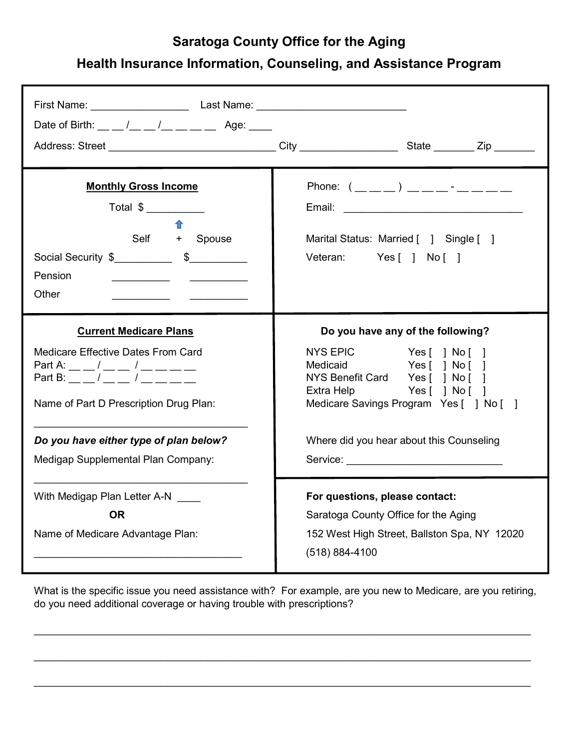## Saratoga County Office for the Aging

## Health Insurance Information, Counseling, and Assistance Program

| Date of Birth: $\_\_$ / _ _ / _ _ _ _ _ Age: _ _                                                                                                                                                                                                                                 | Address: Street ______________________________City _____________________State ________Zip ________                                                                                                                                                                                                                                                                                                                                                                                    |
|----------------------------------------------------------------------------------------------------------------------------------------------------------------------------------------------------------------------------------------------------------------------------------|---------------------------------------------------------------------------------------------------------------------------------------------------------------------------------------------------------------------------------------------------------------------------------------------------------------------------------------------------------------------------------------------------------------------------------------------------------------------------------------|
| <b>Monthly Gross Income</b><br>Total \$<br>⇑<br>Self + Spouse<br>Pension<br>Other                                                                                                                                                                                                | Phone: $(\_\_ \_ \)_ \_\_ \_ \_ \_ \_$<br>Email: <u>__________________________</u><br>Marital Status: Married [ ] Single [ ]<br>Veteran: Yes [ ] No [ ]                                                                                                                                                                                                                                                                                                                               |
| <b>Current Medicare Plans</b><br>Medicare Effective Dates From Card<br>Part A: __ _/ __ _/ __ __ __ __ __<br>Part B: $\qquad \qquad / \qquad \qquad /$<br>Name of Part D Prescription Drug Plan:<br>Do you have either type of plan below?<br>Medigap Supplemental Plan Company: | Do you have any of the following?<br>NYS EPIC Yes [ ] No [ ]<br>Medicaid Yes [ ] No [ ]<br>NYS Benefit Card Yes [ ] No [ ]<br>Extra Help Yes [ ] No [ ]<br>Medicare Savings Program Yes [ ] No [ ]<br>Where did you hear about this Counseling<br>Service: <u>with the service</u> of the service of the service of the service of the service of the service of the service of the service of the service of the service of the service of the service of the service of the service |
| With Medigap Plan Letter A-N<br><b>OR</b><br>Name of Medicare Advantage Plan:                                                                                                                                                                                                    | For questions, please contact:<br>Saratoga County Office for the Aging<br>152 West High Street, Ballston Spa, NY 12020<br>$(518) 884 - 4100$                                                                                                                                                                                                                                                                                                                                          |

What is the specific issue you need assistance with? For example, are you new to Medicare, are you retiring, do you need additional coverage or having trouble with prescriptions?

 $\mathcal{L}_\mathcal{L} = \mathcal{L}_\mathcal{L} = \mathcal{L}_\mathcal{L} = \mathcal{L}_\mathcal{L} = \mathcal{L}_\mathcal{L} = \mathcal{L}_\mathcal{L} = \mathcal{L}_\mathcal{L} = \mathcal{L}_\mathcal{L} = \mathcal{L}_\mathcal{L} = \mathcal{L}_\mathcal{L} = \mathcal{L}_\mathcal{L} = \mathcal{L}_\mathcal{L} = \mathcal{L}_\mathcal{L} = \mathcal{L}_\mathcal{L} = \mathcal{L}_\mathcal{L} = \mathcal{L}_\mathcal{L} = \mathcal{L}_\mathcal{L}$ 

 $\mathcal{L}_\mathcal{L} = \mathcal{L}_\mathcal{L} = \mathcal{L}_\mathcal{L} = \mathcal{L}_\mathcal{L} = \mathcal{L}_\mathcal{L} = \mathcal{L}_\mathcal{L} = \mathcal{L}_\mathcal{L} = \mathcal{L}_\mathcal{L} = \mathcal{L}_\mathcal{L} = \mathcal{L}_\mathcal{L} = \mathcal{L}_\mathcal{L} = \mathcal{L}_\mathcal{L} = \mathcal{L}_\mathcal{L} = \mathcal{L}_\mathcal{L} = \mathcal{L}_\mathcal{L} = \mathcal{L}_\mathcal{L} = \mathcal{L}_\mathcal{L}$ 

 $\mathcal{L}_\mathcal{L} = \mathcal{L}_\mathcal{L} = \mathcal{L}_\mathcal{L} = \mathcal{L}_\mathcal{L} = \mathcal{L}_\mathcal{L} = \mathcal{L}_\mathcal{L} = \mathcal{L}_\mathcal{L} = \mathcal{L}_\mathcal{L} = \mathcal{L}_\mathcal{L} = \mathcal{L}_\mathcal{L} = \mathcal{L}_\mathcal{L} = \mathcal{L}_\mathcal{L} = \mathcal{L}_\mathcal{L} = \mathcal{L}_\mathcal{L} = \mathcal{L}_\mathcal{L} = \mathcal{L}_\mathcal{L} = \mathcal{L}_\mathcal{L}$